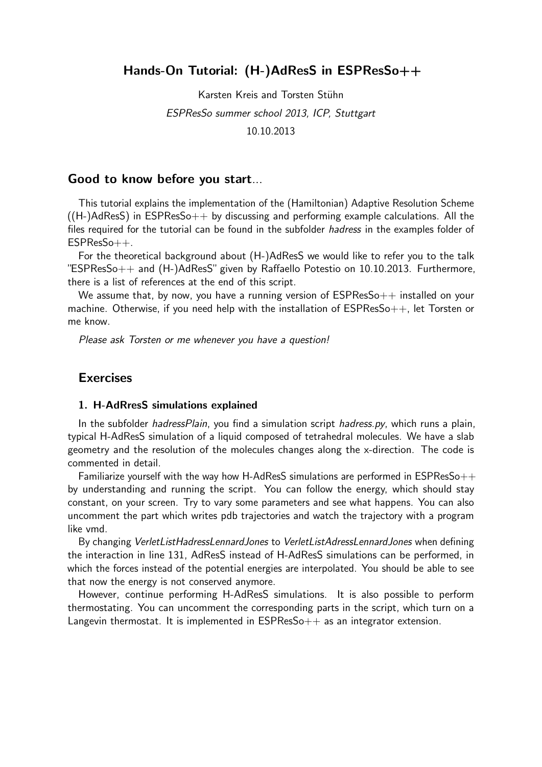# Hands-On Tutorial: (H-)AdResS in ESPResSo++

Karsten Kreis and Torsten Stühn ESPResSo summer school 2013, ICP, Stuttgart 10.10.2013

## Good to know before you start...

This tutorial explains the implementation of the (Hamiltonian) Adaptive Resolution Scheme  $(H-)$ AdResS) in ESPResSo $++$  by discussing and performing example calculations. All the files required for the tutorial can be found in the subfolder *hadress* in the examples folder of ESPResSo++.

For the theoretical background about (H-)AdResS we would like to refer you to the talk  $"ESPResSo++$  and  $(H-)AdResS"$  given by Raffaello Potestio on 10.10.2013. Furthermore, there is a list of references at the end of this script.

We assume that, by now, you have a running version of  $ESPResSo++$  installed on your machine. Otherwise, if you need help with the installation of  $ESPResSo++$ , let Torsten or me know.

Please ask Torsten or me whenever you have a question!

## Exercises

#### 1. H-AdRresS simulations explained

In the subfolder *hadressPlain*, you find a simulation script *hadress.py*, which runs a plain, typical H-AdResS simulation of a liquid composed of tetrahedral molecules. We have a slab geometry and the resolution of the molecules changes along the x-direction. The code is commented in detail.

Familiarize yourself with the way how H-AdResS simulations are performed in  $ESPResS<sub>+</sub>$ by understanding and running the script. You can follow the energy, which should stay constant, on your screen. Try to vary some parameters and see what happens. You can also uncomment the part which writes pdb trajectories and watch the trajectory with a program like vmd.

By changing VerletListHadressLennardJones to VerletListAdressLennardJones when defining the interaction in line 131, AdResS instead of H-AdResS simulations can be performed, in which the forces instead of the potential energies are interpolated. You should be able to see that now the energy is not conserved anymore.

However, continue performing H-AdResS simulations. It is also possible to perform thermostating. You can uncomment the corresponding parts in the script, which turn on a Langevin thermostat. It is implemented in  $ESPResS<sub>0</sub>++$  as an integrator extension.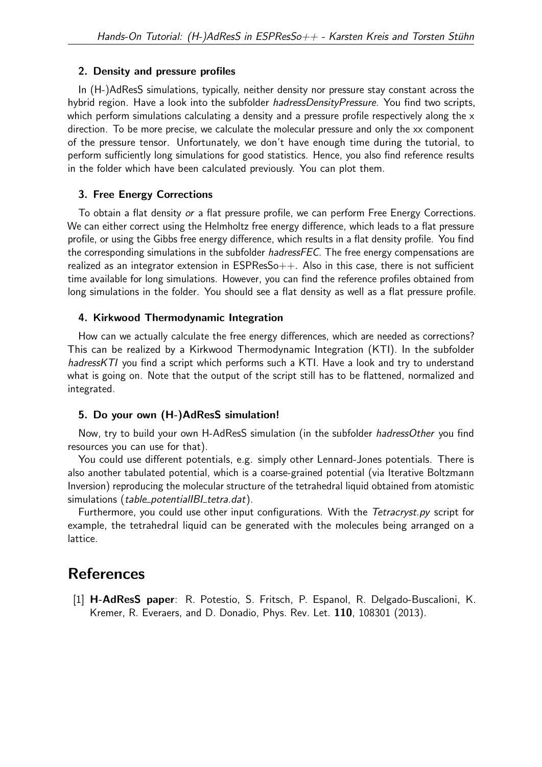#### 2. Density and pressure profiles

In (H-)AdResS simulations, typically, neither density nor pressure stay constant across the hybrid region. Have a look into the subfolder *hadressDensityPressure*. You find two scripts, which perform simulations calculating a density and a pressure profile respectively along the x direction. To be more precise, we calculate the molecular pressure and only the xx component of the pressure tensor. Unfortunately, we don't have enough time during the tutorial, to perform sufficiently long simulations for good statistics. Hence, you also find reference results in the folder which have been calculated previously. You can plot them.

## 3. Free Energy Corrections

To obtain a flat density or a flat pressure profile, we can perform Free Energy Corrections. We can either correct using the Helmholtz free energy difference, which leads to a flat pressure profile, or using the Gibbs free energy difference, which results in a flat density profile. You find the corresponding simulations in the subfolder *hadressFEC*. The free energy compensations are realized as an integrator extension in  $ESPResSo++$ . Also in this case, there is not sufficient time available for long simulations. However, you can find the reference profiles obtained from long simulations in the folder. You should see a flat density as well as a flat pressure profile.

## 4. Kirkwood Thermodynamic Integration

How can we actually calculate the free energy differences, which are needed as corrections? This can be realized by a Kirkwood Thermodynamic Integration (KTI). In the subfolder hadressKTI you find a script which performs such a KTI. Have a look and try to understand what is going on. Note that the output of the script still has to be flattened, normalized and integrated.

#### 5. Do your own (H-)AdResS simulation!

Now, try to build your own H-AdResS simulation (in the subfolder hadressOther you find resources you can use for that).

You could use different potentials, e.g. simply other Lennard-Jones potentials. There is also another tabulated potential, which is a coarse-grained potential (via Iterative Boltzmann Inversion) reproducing the molecular structure of the tetrahedral liquid obtained from atomistic simulations (table\_potentialIBI\_tetra.dat).

Furthermore, you could use other input configurations. With the Tetracryst.py script for example, the tetrahedral liquid can be generated with the molecules being arranged on a lattice.

# References

[1] H-AdResS paper: R. Potestio, S. Fritsch, P. Espanol, R. Delgado-Buscalioni, K. Kremer, R. Everaers, and D. Donadio, Phys. Rev. Let. 110, 108301 (2013).